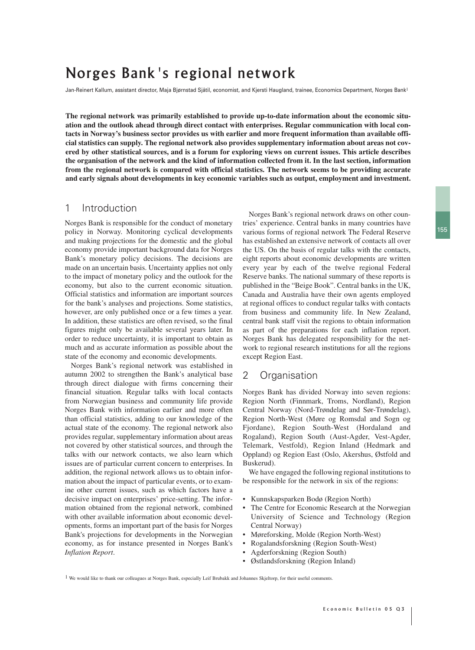# Norges Bank's regional network

Jan-Reinert Kallum, assistant director, Maja Bjørnstad Sjåtil, economist, and Kjersti Haugland, trainee, Economics Department, Norges Bank<sup>1</sup>

**The regional network was primarily established to provide up-to-date information about the economic situation and the outlook ahead through direct contact with enterprises. Regular communication with local contacts in Norway's business sector provides us with earlier and more frequent information than available official statistics can supply. The regional network also provides supplementary information about areas not covered by other statistical sources, and is a forum for exploring views on current issues. This article describes the organisation of the network and the kind of information collected from it. In the last section, information from the regional network is compared with official statistics. The network seems to be providing accurate and early signals about developments in key economic variables such as output, employment and investment.**

# 1 Introduction

Norges Bank is responsible for the conduct of monetary policy in Norway. Monitoring cyclical developments and making projections for the domestic and the global economy provide important background data for Norges Bank's monetary policy decisions. The decisions are made on an uncertain basis. Uncertainty applies not only to the impact of monetary policy and the outlook for the economy, but also to the current economic situation. Official statistics and information are important sources for the bank's analyses and projections. Some statistics, however, are only published once or a few times a year. In addition, these statistics are often revised, so the final figures might only be available several years later. In order to reduce uncertainty, it is important to obtain as much and as accurate information as possible about the state of the economy and economic developments.

Norges Bank's regional network was established in autumn 2002 to strengthen the Bank's analytical base through direct dialogue with firms concerning their financial situation. Regular talks with local contacts from Norwegian business and community life provide Norges Bank with information earlier and more often than official statistics, adding to our knowledge of the actual state of the economy. The regional network also provides regular, supplementary information about areas not covered by other statistical sources, and through the talks with our network contacts, we also learn which issues are of particular current concern to enterprises. In addition, the regional network allows us to obtain information about the impact of particular events, or to examine other current issues, such as which factors have a decisive impact on enterprises' price-setting. The information obtained from the regional network, combined with other available information about economic developments, forms an important part of the basis for Norges Bank's projections for developments in the Norwegian economy, as for instance presented in Norges Bank's *Inflation Report*.

Norges Bank's regional network draws on other countries' experience. Central banks in many countries have various forms of regional network The Federal Reserve has established an extensive network of contacts all over the US. On the basis of regular talks with the contacts, eight reports about economic developments are written every year by each of the twelve regional Federal Reserve banks. The national summary of these reports is published in the "Beige Book". Central banks in the UK, Canada and Australia have their own agents employed at regional offices to conduct regular talks with contacts from business and community life. In New Zealand, central bank staff visit the regions to obtain information as part of the preparations for each inflation report. Norges Bank has delegated responsibility for the network to regional research institutions for all the regions except Region East.

# 2 Organisation

Norges Bank has divided Norway into seven regions: Region North (Finnmark, Troms, Nordland), Region Central Norway (Nord-Trøndelag and Sør-Trøndelag), Region North-West (Møre og Romsdal and Sogn og Fjordane), Region South-West (Hordaland and Rogaland), Region South (Aust-Agder, Vest-Agder, Telemark, Vestfold), Region Inland (Hedmark and Oppland) og Region East (Oslo, Akershus, Østfold and Buskerud).

We have engaged the following regional institutions to be responsible for the network in six of the regions:

- Kunnskapsparken Bodø (Region North)
- The Centre for Economic Research at the Norwegian University of Science and Technology (Region Central Norway)
- Møreforsking, Molde (Region North-West)
- Rogalandsforskning (Region South-West)
- Agderforskning (Region South)
- Østlandsforskning (Region Inland)

1 We would like to thank our colleagues at Norges Bank, especially Leif Brubakk and Johannes Skjeltorp, for their useful comments.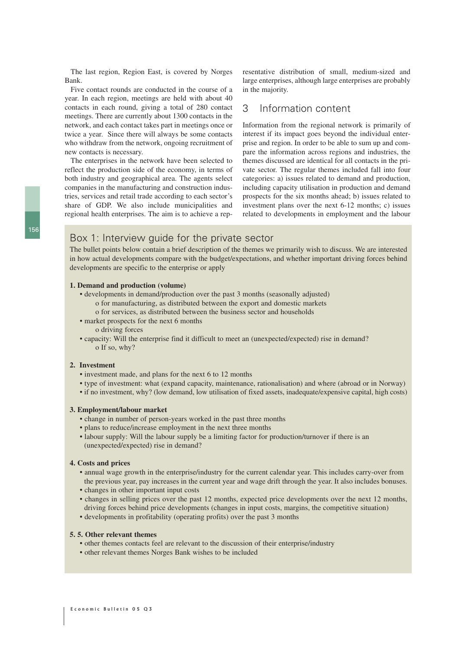The last region, Region East, is covered by Norges Bank.

Five contact rounds are conducted in the course of a year. In each region, meetings are held with about 40 contacts in each round, giving a total of 280 contact meetings. There are currently about 1300 contacts in the network, and each contact takes part in meetings once or twice a year. Since there will always be some contacts who withdraw from the network, ongoing recruitment of new contacts is necessary.

The enterprises in the network have been selected to reflect the production side of the economy, in terms of both industry and geographical area. The agents select companies in the manufacturing and construction industries, services and retail trade according to each sector's share of GDP. We also include municipalities and regional health enterprises. The aim is to achieve a representative distribution of small, medium-sized and large enterprises, although large enterprises are probably in the majority.

# 3 Information content

Information from the regional network is primarily of interest if its impact goes beyond the individual enterprise and region. In order to be able to sum up and compare the information across regions and industries, the themes discussed are identical for all contacts in the private sector. The regular themes included fall into four categories: a) issues related to demand and production, including capacity utilisation in production and demand prospects for the six months ahead; b) issues related to investment plans over the next 6-12 months; c) issues related to developments in employment and the labour

# Box 1: Interview guide for the private sector

The bullet points below contain a brief description of the themes we primarily wish to discuss. We are interested in how actual developments compare with the budget/expectations, and whether important driving forces behind developments are specific to the enterprise or apply

## **1. Demand and production (volume)**

- developments in demand/production over the past 3 months (seasonally adjusted) o for manufacturing, as distributed between the export and domestic markets o for services, as distributed between the business sector and households
- market prospects for the next 6 months
- o driving forces
- capacity: Will the enterprise find it difficult to meet an (unexpected/expected) rise in demand? o If so, why?

## **2. Investment**

- investment made, and plans for the next 6 to 12 months
- type of investment: what (expand capacity, maintenance, rationalisation) and where (abroad or in Norway)
- if no investment, why? (low demand, low utilisation of fixed assets, inadequate/expensive capital, high costs)

## **3. Employment/labour market**

- change in number of person-years worked in the past three months
- plans to reduce/increase employment in the next three months
- labour supply: Will the labour supply be a limiting factor for production/turnover if there is an (unexpected/expected) rise in demand?

## **4. Costs and prices**

- annual wage growth in the enterprise/industry for the current calendar year. This includes carry-over from the previous year, pay increases in the current year and wage drift through the year. It also includes bonuses.
- changes in other important input costs
- changes in selling prices over the past 12 months, expected price developments over the next 12 months, driving forces behind price developments (changes in input costs, margins, the competitive situation)
- developments in profitability (operating profits) over the past 3 months

## **5. 5. Other relevant themes**

- other themes contacts feel are relevant to the discussion of their enterprise/industry
- other relevant themes Norges Bank wishes to be included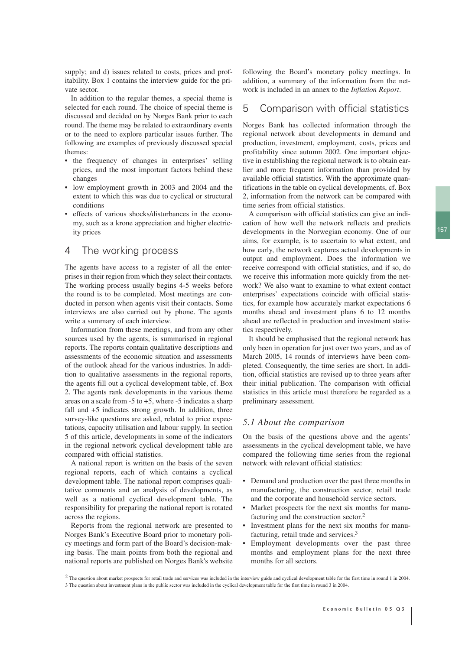supply; and d) issues related to costs, prices and profitability. Box 1 contains the interview guide for the private sector.

In addition to the regular themes, a special theme is selected for each round. The choice of special theme is discussed and decided on by Norges Bank prior to each round. The theme may be related to extraordinary events or to the need to explore particular issues further. The following are examples of previously discussed special themes:

- the frequency of changes in enterprises' selling prices, and the most important factors behind these changes
- low employment growth in 2003 and 2004 and the extent to which this was due to cyclical or structural conditions
- effects of various shocks/disturbances in the economy, such as a krone appreciation and higher electricity prices

## 4 The working process

The agents have access to a register of all the enterprises in their region from which they select their contacts. The working process usually begins 4-5 weeks before the round is to be completed. Most meetings are conducted in person when agents visit their contacts. Some interviews are also carried out by phone. The agents write a summary of each interview.

Information from these meetings, and from any other sources used by the agents, is summarised in regional reports. The reports contain qualitative descriptions and assessments of the economic situation and assessments of the outlook ahead for the various industries. In addition to qualitative assessments in the regional reports, the agents fill out a cyclical development table, cf. Box 2. The agents rank developments in the various theme areas on a scale from  $-5$  to  $+5$ , where  $-5$  indicates a sharp fall and  $+5$  indicates strong growth. In addition, three survey-like questions are asked, related to price expectations, capacity utilisation and labour supply. In section 5 of this article, developments in some of the indicators in the regional network cyclical development table are compared with official statistics.

A national report is written on the basis of the seven regional reports, each of which contains a cyclical development table. The national report comprises qualitative comments and an analysis of developments, as well as a national cyclical development table. The responsibility for preparing the national report is rotated across the regions.

Reports from the regional network are presented to Norges Bank's Executive Board prior to monetary policy meetings and form part of the Board's decision-making basis. The main points from both the regional and national reports are published on Norges Bank's website following the Board's monetary policy meetings. In addition, a summary of the information from the network is included in an annex to the *Inflation Report*.

# 5 Comparison with official statistics

Norges Bank has collected information through the regional network about developments in demand and production, investment, employment, costs, prices and profitability since autumn 2002. One important objective in establishing the regional network is to obtain earlier and more frequent information than provided by available official statistics. With the approximate quantifications in the table on cyclical developments, cf. Box 2, information from the network can be compared with time series from official statistics.

A comparison with official statistics can give an indication of how well the network reflects and predicts developments in the Norwegian economy. One of our aims, for example, is to ascertain to what extent, and how early, the network captures actual developments in output and employment. Does the information we receive correspond with official statistics, and if so, do we receive this information more quickly from the network? We also want to examine to what extent contact enterprises' expectations coincide with official statistics, for example how accurately market expectations 6 months ahead and investment plans 6 to 12 months ahead are reflected in production and investment statistics respectively.

It should be emphasised that the regional network has only been in operation for just over two years, and as of March 2005, 14 rounds of interviews have been completed. Consequently, the time series are short. In addition, official statistics are revised up to three years after their initial publication. The comparison with official statistics in this article must therefore be regarded as a preliminary assessment.

## *5.1 About the comparison*

On the basis of the questions above and the agents' assessments in the cyclical development table, we have compared the following time series from the regional network with relevant official statistics:

- Demand and production over the past three months in manufacturing, the construction sector, retail trade and the corporate and household service sectors.
- Market prospects for the next six months for manufacturing and the construction sector.2
- Investment plans for the next six months for manufacturing, retail trade and services.3
- Employment developments over the past three months and employment plans for the next three months for all sectors.
- <sup>2</sup> The question about market prospects for retail trade and services was included in the interview guide and cyclical development table for the first time in round 1 in 2004. 3 The question about investment plans in the public sector was included in the cyclical development table for the first time in round 3 in 2004.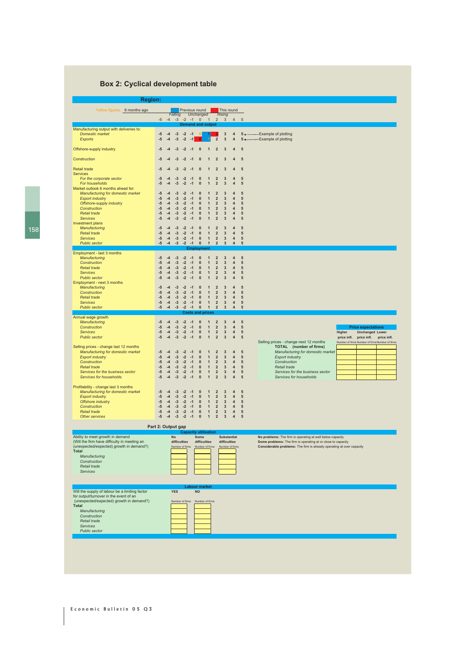# **Box 2: Cyclical development table**

| <b>Region:</b>                                                                                        |                      |                      |                                 |                      |                          |                                            |                                              |                                                 |                                                    |                                           |                                  |                                                                                                                                       |
|-------------------------------------------------------------------------------------------------------|----------------------|----------------------|---------------------------------|----------------------|--------------------------|--------------------------------------------|----------------------------------------------|-------------------------------------------------|----------------------------------------------------|-------------------------------------------|----------------------------------|---------------------------------------------------------------------------------------------------------------------------------------|
| Yellow figures: 6 months ago                                                                          | $-5$                 | $-4 - 3$             | Falling                         | $-2$                 | $-1$                     | Previous round<br>Unchanged<br>$\mathbf 0$ | $\overline{1}$                               | $\overline{2}$                                  | <b>Rising</b><br>$\overline{\mathbf{3}}$           | This round<br>$\overline{4}$              | 5                                |                                                                                                                                       |
|                                                                                                       |                      |                      |                                 |                      |                          | <b>Demand and output</b>                   |                                              |                                                 |                                                    |                                           |                                  |                                                                                                                                       |
| Manufacturing output with deliveries to:<br><b>Domestic market</b><br><b>Exports</b>                  | -5<br>$-5$           | $-4$<br>$-4$         | $-3$<br>$-3$                    | $-2$<br>$-2$         | -1<br>$-1$               | $\mathbf{0}$<br>$\Omega$                   |                                              | $\mathbf 2$                                     | 3<br>$\overline{\mathbf{3}}$                       | 4<br>4                                    | $5 +$<br>$5 \leftarrow$          | Example of plotting<br>-Example of plotting                                                                                           |
| Offshore-supply industry                                                                              | -5                   | -4                   | $-3$                            | $-2$                 | -1                       | $\bf{0}$                                   | $\mathbf 1$                                  | $\overline{2}$                                  | 3                                                  | 4                                         | 5                                |                                                                                                                                       |
| Construction                                                                                          | $-5$                 | $-4$                 | $-3$                            | $-2$                 | $-1$                     | $\mathbf{0}$                               | $\mathbf{1}$                                 | $\overline{2}$                                  | $\overline{3}$                                     | $\overline{4}$                            | 5                                |                                                                                                                                       |
| <b>Retail trade</b><br><b>Services</b>                                                                | -5                   |                      | -3                              | -2                   |                          | $\mathbf{0}$                               | $\mathbf 1$                                  | $\overline{2}$                                  | 3                                                  | 4                                         | 5                                |                                                                                                                                       |
| For the corporate sector<br>For households                                                            | -5<br>$-5$           | $-4$<br>$-4$         | $-3$<br>$-3$                    | $-2$<br>$-2$         | -1<br>$-1$               | $\bf{0}$<br>$\mathbf{0}$                   | 1<br>$\mathbf{1}$                            | $\mathbf 2$<br>$\overline{2}$                   | $\mathbf{3}$<br>3                                  | $\overline{\mathbf{4}}$<br>$\overline{4}$ | 5<br>$5\phantom{1}$              |                                                                                                                                       |
| Market outlook 6 months ahead for:<br>Manufacturing for domestic market<br><b>Export industry</b>     | -5<br>$-5$           | $-4$<br>$-4$         | $-3$<br>$-3$                    | $-2$<br>$-2$         | -1<br>$-1$               | $\bf{0}$<br>$\bf{0}$                       | $\mathbf{1}$<br>$\mathbf{1}$                 | $\overline{2}$<br>$\overline{2}$                | 3<br>$\overline{\mathbf{3}}$                       | $\overline{4}$<br>$\overline{4}$          | $5\phantom{1}$<br>5              |                                                                                                                                       |
| Offshore-supply industry<br>Construction                                                              | $-5$<br>$-5$         | $-4$<br>$-4$         | $-3$<br>$-3$                    | $-2$<br>$-2$         | $-1$<br>$-1$             | $\bf{0}$<br>$\mathbf{0}$                   | $\mathbf{1}$<br>$\mathbf{1}$                 | $\overline{2}$<br>$\overline{2}$                | 3<br>$\overline{\mathbf{3}}$                       | $\overline{4}$<br>$\overline{\mathbf{4}}$ | 5<br>5                           |                                                                                                                                       |
| <b>Retail trade</b><br><b>Services</b>                                                                | $-5$<br>$-5$         | $-4$<br>$-4$         | $-3$<br>$-3$                    | $-2$<br>$-2$         | $-1$<br>$-1$             | $\bf{0}$<br>$\bf{0}$                       | $\mathbf{1}$<br>$\mathbf{1}$                 | $\mathbf 2$<br>$\overline{2}$                   | $\overline{\mathbf{3}}$<br>$\overline{\mathbf{3}}$ | $\overline{4}$<br>$\overline{4}$          | 5<br>5                           |                                                                                                                                       |
| Investment plans<br>Manufacturing                                                                     | -5                   | $-4$                 | $-3$                            | $-2$                 | $-1$                     | $\bf{0}$                                   | $\mathbf{1}$                                 | $\overline{2}$                                  | 3                                                  | 4                                         | 5                                |                                                                                                                                       |
| <b>Retail trade</b><br><b>Services</b><br><b>Public sector</b>                                        | $-5$<br>$-5$<br>$-5$ | $-4$<br>$-4$<br>$-4$ | $-3$<br>$-3$<br>$-3$            | $-2$<br>$-2$<br>$-2$ | $-1$<br>$-1$<br>$-1$     | $\bf{0}$<br>$\bf{0}$<br>$\bf{0}$           | $\mathbf{1}$<br>$\mathbf{1}$<br>$\mathbf{1}$ | $\mathbf 2$<br>$\overline{2}$<br>$\overline{2}$ | $\mathbf{3}$<br>$\overline{\mathbf{3}}$<br>3       | 4<br>$\overline{4}$<br>4                  | 5<br>$5\phantom{1}$<br>5         |                                                                                                                                       |
|                                                                                                       |                      |                      |                                 |                      |                          | <b>Employment</b>                          |                                              |                                                 |                                                    |                                           |                                  |                                                                                                                                       |
| Employment - last 3 months<br>Manufacturing                                                           | -5                   | $-4$                 | $-3$                            | $-2$                 | -1                       | $\bf{0}$                                   | 1                                            | $\overline{2}$                                  | 3                                                  | 4                                         | $5\phantom{1}$                   |                                                                                                                                       |
| Construction<br><b>Retail trade</b>                                                                   | $-5$<br>$-5$         | $-4$<br>$-4$         | $-3$<br>$-3$                    | $-2$<br>$-2$         | $-1$<br>$-1$             | $\bf{0}$<br>$\bf{0}$                       | $\mathbf{1}$<br>$\mathbf{1}$                 | $\overline{2}$<br>$\mathbf 2$                   | $\overline{\mathbf{3}}$<br>$\mathbf{3}$            | $\overline{4}$<br>$\overline{\mathbf{4}}$ | $5\phantom{1}$<br>5              |                                                                                                                                       |
| <b>Services</b><br><b>Public sector</b>                                                               | $-5$<br>$-5$         | $-4$<br>$-4$         | $-3$<br>$-3$                    | $-2$<br>$-2$         | $-1$<br>$-1$             | $\bf{0}$<br>$\bf{0}$                       | $\mathbf{1}$<br>$\mathbf{1}$                 | $\mathbf 2$<br>$\mathbf 2$                      | $\mathbf{3}$<br>$\overline{\mathbf{3}}$            | 4<br>$\overline{4}$                       | $5\phantom{1}$<br>$5\phantom{1}$ |                                                                                                                                       |
| Employment - next 3 months<br>Manufacturing<br>Construction                                           | -5<br>$-5$           | $-4$<br>$-4$         | $-3$<br>$-3$                    | $-2$<br>$-2$         | -1<br>$-1$               | $\bf{0}$<br>$\bf{0}$                       | $\mathbf{1}$<br>$\mathbf{1}$                 | $\overline{2}$<br>$\overline{2}$                | $\overline{3}$<br>$\overline{\mathbf{3}}$          | 4<br>$\overline{4}$                       | $5\phantom{1}$<br>5              |                                                                                                                                       |
| <b>Retail trade</b><br><b>Services</b>                                                                | $-5$<br>$-5$         | $-4$<br>$-4$         | $-3$<br>$-3$                    | $-2$<br>$-2$         | $-1$<br>$-1$             | $\bf{0}$<br>$\bf{0}$                       | $\mathbf{1}$<br>$\mathbf{1}$                 | $\mathbf 2$<br>$\overline{2}$                   | $\mathbf{3}$<br>$\mathbf{3}$                       | $\overline{4}$<br>$\overline{4}$          | $5\phantom{1}$<br>5              |                                                                                                                                       |
| <b>Public sector</b>                                                                                  | $-5$                 | $-4$                 | $-3$                            | $-2$                 | $-1$                     | $\bf{0}$                                   | $\mathbf{1}$                                 | $\overline{2}$                                  | $\overline{3}$                                     | $\overline{4}$                            | $5\phantom{1}$                   |                                                                                                                                       |
| Annual wage growth                                                                                    |                      |                      |                                 |                      |                          | <b>Costs and prices</b>                    |                                              |                                                 |                                                    |                                           |                                  |                                                                                                                                       |
| Manufacturing                                                                                         | -5                   | $-4$                 | $-3$                            | $-2$                 | $-1$                     | $\bf{0}$                                   | $\mathbf{1}$                                 | $\overline{2}$                                  | 3                                                  | 4                                         | 5                                |                                                                                                                                       |
| Construction<br><b>Services</b>                                                                       | $-5$<br>$-5$         | $-4$<br>$-4$         | $-3$<br>$-3$                    | $-2$<br>$-2$         | $-1$<br>$-1$             | $\bf{0}$<br>$\bf{0}$                       | $\mathbf{1}$<br>$\mathbf{1}$                 | $\mathbf 2$<br>$\overline{2}$                   | $\overline{\mathbf{3}}$<br>$\mathbf{3}$            | $\overline{\mathbf{4}}$<br>$\overline{4}$ | $5\phantom{1}$<br>$5\phantom{1}$ | <b>Price expectations</b><br>Higher<br><b>Unchanged Lower</b>                                                                         |
| <b>Public sector</b>                                                                                  | $-5$                 | $-4$                 | $-3$                            | $-2$                 | $-1$                     | $\bf{0}$                                   | $\mathbf{1}$                                 | $\mathbf 2$                                     | $\overline{3}$                                     | 4                                         | $5\phantom{1}$                   | price infl. price infl.<br>price infl.<br>Selling prices - change next 12 months<br>Number of firms Number of firms Number of firms   |
| Selling prices - change last 12 months<br>Manufacturing for domestic market<br><b>Export industry</b> | -5<br>$-5$           | $-4$<br>$-4$         | $-3$<br>$-3$                    | $-2$<br>$-2$         | $-1$<br>$-1$             | $\bf{0}$<br>$\bf{0}$                       | $\mathbf{1}$<br>$\mathbf{1}$                 | $\overline{2}$<br>$\mathbf 2$                   | 3<br>$\mathbf{3}$                                  | 4<br>4                                    | 5<br>$\overline{5}$              | TOTAL (number of firms)<br>Manufacturing for domestic market<br><b>Export industry</b>                                                |
| Construction<br><b>Retail trade</b>                                                                   | $-5$<br>$-5$         | $-4$<br>$-4$         | $-3$<br>$-3$                    | $-2$<br>$-2$         | $-1$<br>$-1$             | $\bf{0}$<br>$\bf{0}$                       | $\mathbf{1}$<br>$\mathbf{1}$                 | $\overline{2}$<br>$\overline{2}$                | $\overline{\mathbf{3}}$<br>$\mathbf{3}$            | $\overline{4}$<br>4                       | 5<br>$5\phantom{1}$              | Construction<br>Retail trade                                                                                                          |
| Services for the business sector<br>Services for households                                           | $-5$<br>$-5$         | $-4$<br>$-4$         | $-3$<br>$-3$                    | $-2$<br>$-2$         | $-1$<br>$-1$             | $\bf{0}$<br>$\bf{0}$                       | $\mathbf{1}$<br>$\overline{1}$               | $\mathbf 2$<br>$\overline{2}$                   | $\mathbf{3}$<br>$\overline{\mathbf{3}}$            | 4<br>$\overline{\mathbf{4}}$              | $5\phantom{1}$<br>5              | Services for the business sector<br>Services for households                                                                           |
| Profitability - change last 3 months                                                                  |                      |                      |                                 |                      |                          |                                            |                                              |                                                 |                                                    |                                           |                                  |                                                                                                                                       |
| Manufacturing for domestic market<br><b>Export industry</b>                                           | $-5$<br>$-5$         | $-4$<br>$-4$         | $-3$<br>$-3$                    | $-2$<br>$-2$         | $-1$<br>$-1$             | $\mathbf{0}$<br>$\bf{0}$                   | $\mathbf{1}$<br>$\mathbf{1}$                 | $\overline{2}$<br>$\mathbf 2$                   | 3<br>3                                             | 4<br>$\overline{\mathbf{4}}$              | 5<br>$5\phantom{1}$              |                                                                                                                                       |
| Offshore industry<br>Construction                                                                     | $-5$<br>$-5$         | $-4$<br>$-4$         | $-3$<br>$-3$                    | $-2$<br>$-2$         | $-1$<br>$-1$             | $\bf{0}$<br>$\mathbf{0}$                   | $\mathbf{1}$<br>$\mathbf{1}$                 | $\overline{2}$<br>$\overline{2}$                | $\mathbf{3}$<br>$\overline{\mathbf{3}}$            | $\overline{\mathbf{4}}$<br>4              | 5<br>5                           |                                                                                                                                       |
| <b>Retail trade</b><br>Other services                                                                 | $-5$<br>-5           | $-4$<br>$-4$         | $-3$                            | $-2$                 | $-1$<br>$-3$ $-2$ $-1$ 0 | $\bf{0}$                                   | $\overline{1}$<br>$\overline{1}$             | $\overline{2}$<br>$\overline{2}$                | $\overline{\mathbf{3}}$<br>$\mathbf{3}$            | $\overline{4}$<br>4                       | 5<br>$\sqrt{5}$                  |                                                                                                                                       |
| Part 2: Output gap<br><b>Capacity utilisation</b>                                                     |                      |                      |                                 |                      |                          |                                            |                                              |                                                 |                                                    |                                           |                                  |                                                                                                                                       |
| Ability to meet growth in demand                                                                      |                      |                      | <b>No</b>                       |                      |                          | Some                                       |                                              |                                                 | <b>Substantial</b>                                 |                                           |                                  | No problems: The firm is operating at well below capacity                                                                             |
| (Will the firm have difficulty in meeting an<br>(unexpected/expected) growth in demand?)              |                      |                      | difficulties<br>Number of firms |                      |                          | difficulties<br>Number of firms            |                                              |                                                 | difficulties                                       | Number of firms                           |                                  | Some problems: The firm is operating at or close to capacity<br>Considerable problems: The firm is already operating at over capacity |
| <b>Total</b><br>Manufacturing                                                                         |                      |                      |                                 |                      |                          |                                            |                                              |                                                 |                                                    |                                           |                                  |                                                                                                                                       |
| Construction<br>Retail trade                                                                          |                      |                      |                                 |                      |                          |                                            |                                              |                                                 |                                                    |                                           |                                  |                                                                                                                                       |
| <b>Services</b>                                                                                       |                      |                      |                                 |                      |                          |                                            |                                              |                                                 |                                                    |                                           |                                  |                                                                                                                                       |
|                                                                                                       |                      |                      |                                 |                      |                          |                                            |                                              |                                                 |                                                    |                                           |                                  |                                                                                                                                       |
| Will the supply of labour be a limiting factor                                                        |                      |                      | <b>YES</b>                      |                      |                          | <b>Labour market</b><br><b>NO</b>          |                                              |                                                 |                                                    |                                           |                                  |                                                                                                                                       |
| for output/turnover in the event of an<br>(unexpected/expected) growth in demand?)                    |                      |                      | Number of firms                 |                      |                          | Number of firms                            |                                              |                                                 |                                                    |                                           |                                  |                                                                                                                                       |
| <b>Total</b><br>Manufacturing                                                                         |                      |                      |                                 |                      |                          |                                            |                                              |                                                 |                                                    |                                           |                                  |                                                                                                                                       |
| Construction<br>Retail trade                                                                          |                      |                      |                                 |                      |                          |                                            |                                              |                                                 |                                                    |                                           |                                  |                                                                                                                                       |
| <b>Services</b><br>Public sector                                                                      |                      |                      |                                 |                      |                          |                                            |                                              |                                                 |                                                    |                                           |                                  |                                                                                                                                       |
|                                                                                                       |                      |                      |                                 |                      |                          |                                            |                                              |                                                 |                                                    |                                           |                                  |                                                                                                                                       |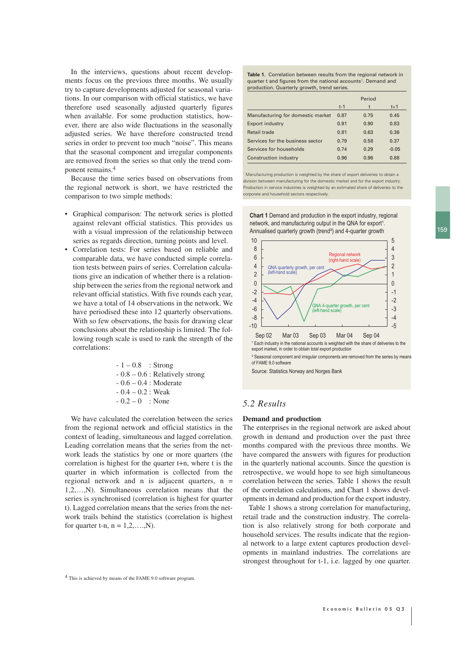159

In the interviews, questions about recent developments focus on the previous three months. We usually try to capture developments adjusted for seasonal variations. In our comparison with official statistics, we have therefore used seasonally adjusted quarterly figures when available. For some production statistics, however, there are also wide fluctuations in the seasonally adjusted series. We have therefore constructed trend series in order to prevent too much "noise". This means that the seasonal component and irregular components are removed from the series so that only the trend component remains.4

Because the time series based on observations from the regional network is short, we have restricted the comparison to two simple methods:

- Graphical comparison: The network series is plotted against relevant official statistics. This provides us with a visual impression of the relationship between series as regards direction, turning points and level.
- Correlation tests: For series based on reliable and comparable data, we have conducted simple correlation tests between pairs of series. Correlation calculations give an indication of whether there is a relationship between the series from the regional network and relevant official statistics. With five rounds each year, we have a total of 14 observations in the network. We have periodised these into 12 quarterly observations. With so few observations, the basis for drawing clear conclusions about the relationship is limited. The following rough scale is used to rank the strength of the correlations:

 $-1 - 0.8$  : Strong - 0.8 – 0.6 : Relatively strong - 0.6 – 0.4 : Moderate  $-0.4 - 0.2$  : Weak  $-0.2 - 0$  : None

We have calculated the correlation between the series from the regional network and official statistics in the context of leading, simultaneous and lagged correlation. Leading correlation means that the series from the network leads the statistics by one or more quarters (the correlation is highest for the quarter t+n, where t is the quarter in which information is collected from the regional network and n is adjacent quarters,  $n =$ 1,2,…,N). Simultaneous correlation means that the series is synchronised (correlation is highest for quarter t). Lagged correlation means that the series from the network trails behind the statistics (correlation is highest for quarter t-n,  $n = 1, 2, \ldots, N$ .

**Table 1.** Correlation between results from the regional network in quarter t and figures from the national accounts<sup>1</sup>. Demand and production. Quarterly growth, trend series.

|                                   |       | Period |         |
|-----------------------------------|-------|--------|---------|
|                                   | $t-1$ |        | $t+1$   |
| Manufacturing for domestic market | 0.87  | 0.75   | 0.45    |
| <b>Export industry</b>            | 0.91  | 0.90   | 0.83    |
| Retail trade                      | 0.81  | 0.63   | 0.36    |
| Services for the business sector  | 0.79  | 0.58   | 0.37    |
| Services for households           | 0.74  | 0.29   | $-0.05$ |
| Construction industry             | 0.96  | 0.96   | 0.88    |

Manufacturing production is weighted by the share of export deliveries to obtain a division between manufacturing for the domestic market and for the export industry. Production in service industries is weighted by an estimated share of deliveries to the corporate and household sectors respectively.

**Chart 1** Demand and production in the export industry, regional network, and manufacturing output in the QNA for export<sup>1</sup>. Annualised quarterly growth (trend²) and 4-quarter growth



Source: Statistics Norway and Norges Bank

## *5.2 Results*

#### **Demand and production**

The enterprises in the regional network are asked about growth in demand and production over the past three months compared with the previous three months. We have compared the answers with figures for production in the quarterly national accounts. Since the question is retrospective, we would hope to see high simultaneous correlation between the series. Table 1 shows the result of the correlation calculations, and Chart 1 shows developments in demand and production for the export industry.

Table 1 shows a strong correlation for manufacturing, retail trade and the construction industry. The correlation is also relatively strong for both corporate and household services. The results indicate that the regional network to a large extent captures production developments in mainland industries. The correlations are strongest throughout for t-1, i.e. lagged by one quarter.

<sup>4</sup> This is achieved by means of the FAME 9.0 software program.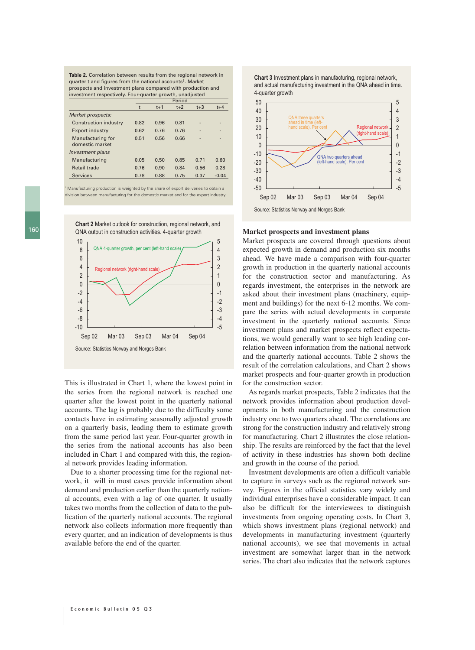**Table 2.** Correlation between results from the regional network in quarter t and figures from the national accounts<sup>1</sup>. Market prospects and investment plans compared with production and investment respectively. Four-quarter growth, unadjusted

|                                      |      |       | Period |       |         |
|--------------------------------------|------|-------|--------|-------|---------|
|                                      | t    | $t+1$ | $t+2$  | $t+3$ | $t + 4$ |
| Market prospects:                    |      |       |        |       |         |
| <b>Construction industry</b>         | 0.82 | 0.96  | 0.81   |       |         |
| <b>Export industry</b>               | 0.62 | 0.76  | 0.76   |       | -       |
| Manufacturing for<br>domestic market | 0.51 | 0.56  | 0.66   |       | -       |
| Investment plans                     |      |       |        |       |         |
| Manufacturing                        | 0.05 | 0.50  | 0.85   | 0.71  | 0.60    |
| Retail trade                         | 0.76 | 0.90  | 0.84   | 0.56  | 0.28    |
| <b>Services</b>                      | 0.78 | 0.88  | 0.75   | 0.37  | $-0.04$ |
|                                      |      |       |        |       |         |

Manufacturing production is weighted by the share of export deliveries to obtain a division between manufacturing for the domestic market and for the export industry.



**Chart 2** Market outlook for construction, regional network, and QNA output in construction activities. 4-quarter growth

This is illustrated in Chart 1, where the lowest point in the series from the regional network is reached one quarter after the lowest point in the quarterly national accounts. The lag is probably due to the difficulty some contacts have in estimating seasonally adjusted growth on a quarterly basis, leading them to estimate growth from the same period last year. Four-quarter growth in the series from the national accounts has also been included in Chart 1 and compared with this, the regional network provides leading information.

Due to a shorter processing time for the regional network, it will in most cases provide information about demand and production earlier than the quarterly national accounts, even with a lag of one quarter. It usually takes two months from the collection of data to the publication of the quarterly national accounts. The regional network also collects information more frequently than every quarter, and an indication of developments is thus available before the end of the quarter.





### **Market prospects and investment plans**

Market prospects are covered through questions about expected growth in demand and production six months ahead. We have made a comparison with four-quarter growth in production in the quarterly national accounts for the construction sector and manufacturing. As regards investment, the enterprises in the network are asked about their investment plans (machinery, equipment and buildings) for the next 6-12 months. We compare the series with actual developments in corporate investment in the quarterly national accounts. Since investment plans and market prospects reflect expectations, we would generally want to see high leading correlation between information from the national network and the quarterly national accounts. Table 2 shows the result of the correlation calculations, and Chart 2 shows market prospects and four-quarter growth in production for the construction sector.

As regards market prospects, Table 2 indicates that the network provides information about production developments in both manufacturing and the construction industry one to two quarters ahead. The correlations are strong for the construction industry and relatively strong for manufacturing. Chart 2 illustrates the close relationship. The results are reinforced by the fact that the level of activity in these industries has shown both decline and growth in the course of the period.

Investment developments are often a difficult variable to capture in surveys such as the regional network survey. Figures in the official statistics vary widely and individual enterprises have a considerable impact. It can also be difficult for the interviewees to distinguish investments from ongoing operating costs. In Chart 3, which shows investment plans (regional network) and developments in manufacturing investment (quarterly national accounts), we see that movements in actual investment are somewhat larger than in the network series. The chart also indicates that the network captures